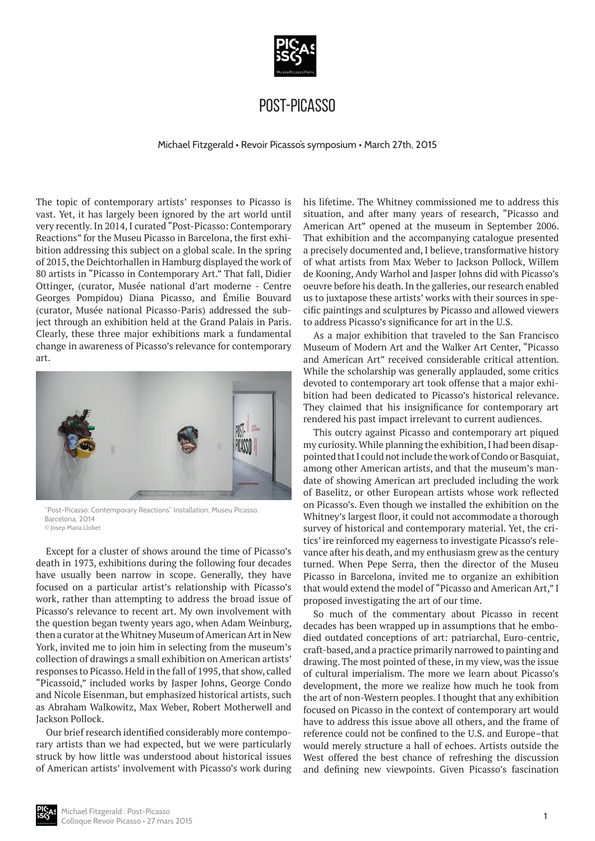

# Post-Picasso

Michael Fitzgerald • Revoir Picasso's symposium • March 27th, 2015

The topic of contemporary artists' responses to Picasso is vast. Yet, it has largely been ignored by the art world until very recently. In 2014, I curated "Post-Picasso: Contemporary Reactions" for the Museu Picasso in Barcelona, the first exhibition addressing this subject on a global scale. In the spring of 2015, the Deichtorhallen in Hamburg displayed the work of 80 artists in "Picasso in Contemporary Art." That fall, Didier Ottinger, (curator, Musée national d'art moderne - Centre Georges Pompidou) Diana Picasso, and Émilie Bouvard (curator, Musée national Picasso-Paris) addressed the subject through an exhibition held at the Grand Palais in Paris. Clearly, these three major exhibitions mark a fundamental change in awareness of Picasso's relevance for contemporary art.



"Post-Picasso: Contemporary Reactions" Installation, Museu Picasso, Barcelona, 2014 © Josep Maria Llobet

Except for a cluster of shows around the time of Picasso's death in 1973, exhibitions during the following four decades have usually been narrow in scope. Generally, they have focused on a particular artist's relationship with Picasso's work, rather than attempting to address the broad issue of Picasso's relevance to recent art. My own involvement with the question began twenty years ago, when Adam Weinburg, then a curator at the Whitney Museum of American Art in New York, invited me to join him in selecting from the museum's collection of drawings a small exhibition on American artists' responses to Picasso. Held in the fall of 1995, that show, called "Picassoid," included works by Jasper Johns, George Condo and Nicole Eisenman, but emphasized historical artists, such as Abraham Walkowitz, Max Weber, Robert Motherwell and Jackson Pollock.

Our brief research identified considerably more contemporary artists than we had expected, but we were particularly struck by how little was understood about historical issues of American artists' involvement with Picasso's work during his lifetime. The Whitney commissioned me to address this situation, and after many years of research, "Picasso and American Art" opened at the museum in September 2006. That exhibition and the accompanying catalogue presented a precisely documented and, I believe, transformative history of what artists from Max Weber to Jackson Pollock, Willem de Kooning, Andy Warhol and Jasper Johns did with Picasso's oeuvre before his death. In the galleries, our research enabled us to juxtapose these artists' works with their sources in specific paintings and sculptures by Picasso and allowed viewers to address Picasso's significance for art in the U.S.

As a major exhibition that traveled to the San Francisco Museum of Modern Art and the Walker Art Center, "Picasso and American Art" received considerable critical attention. While the scholarship was generally applauded, some critics devoted to contemporary art took offense that a major exhibition had been dedicated to Picasso's historical relevance. They claimed that his insignificance for contemporary art rendered his past impact irrelevant to current audiences.

This outcry against Picasso and contemporary art piqued my curiosity. While planning the exhibition, I had been disappointed that I could not include the work of Condo or Basquiat, among other American artists, and that the museum's mandate of showing American art precluded including the work of Baselitz, or other European artists whose work reflected on Picasso's. Even though we installed the exhibition on the Whitney's largest floor, it could not accommodate a thorough survey of historical and contemporary material. Yet, the critics' ire reinforced my eagerness to investigate Picasso's relevance after his death, and my enthusiasm grew as the century turned. When Pepe Serra, then the director of the Museu Picasso in Barcelona, invited me to organize an exhibition that would extend the model of "Picasso and American Art," I proposed investigating the art of our time.

So much of the commentary about Picasso in recent decades has been wrapped up in assumptions that he embodied outdated conceptions of art: patriarchal, Euro-centric, craft-based, and a practice primarily narrowed to painting and drawing. The most pointed of these, in my view, was the issue of cultural imperialism. The more we learn about Picasso's development, the more we realize how much he took from the art of non-Western peoples. I thought that any exhibition focused on Picasso in the context of contemporary art would have to address this issue above all others, and the frame of reference could not be confined to the U.S. and Europe–that would merely structure a hall of echoes. Artists outside the West offered the best chance of refreshing the discussion and defining new viewpoints. Given Picasso's fascination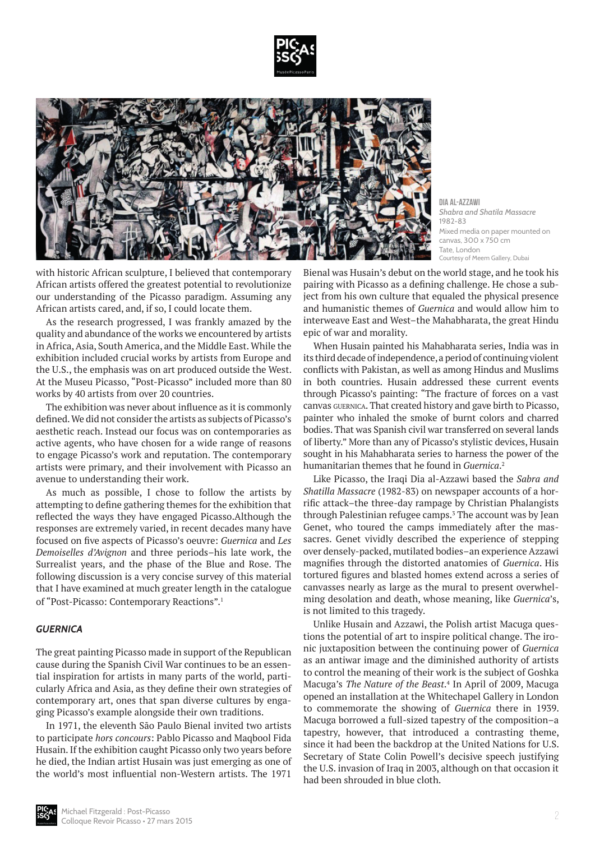



**Dia Al-Azzawi** *Shabra and Shatila Massacre* 1982-83 Mixed media on paper mounted on canvas, 300 x 750 cm Tate, London Courtesy of Meem Gallery, Dubai

with historic African sculpture, I believed that contemporary African artists offered the greatest potential to revolutionize our understanding of the Picasso paradigm. Assuming any African artists cared, and, if so, I could locate them.

As the research progressed, I was frankly amazed by the quality and abundance of the works we encountered by artists in Africa, Asia, South America, and the Middle East. While the exhibition included crucial works by artists from Europe and the U.S., the emphasis was on art produced outside the West. At the Museu Picasso, "Post-Picasso" included more than 80 works by 40 artists from over 20 countries.

The exhibition was never about influence as it is commonly defined. We did not consider the artists as subjects of Picasso's aesthetic reach. Instead our focus was on contemporaries as active agents, who have chosen for a wide range of reasons to engage Picasso's work and reputation. The contemporary artists were primary, and their involvement with Picasso an avenue to understanding their work.

As much as possible, I chose to follow the artists by attempting to define gathering themes for the exhibition that reflected the ways they have engaged Picasso.Although the responses are extremely varied, in recent decades many have focused on five aspects of Picasso's oeuvre: *Guernica* and *Les Demoiselles d'Avignon* and three periods–his late work, the Surrealist years, and the phase of the Blue and Rose. The following discussion is a very concise survey of this material that I have examined at much greater length in the catalogue of "Post-Picasso: Contemporary Reactions".1

## *GUERNICA*

The great painting Picasso made in support of the Republican cause during the Spanish Civil War continues to be an essential inspiration for artists in many parts of the world, particularly Africa and Asia, as they define their own strategies of contemporary art, ones that span diverse cultures by engaging Picasso's example alongside their own traditions.

In 1971, the eleventh São Paulo Bienal invited two artists to participate *hors concours*: Pablo Picasso and Maqbool Fida Husain. If the exhibition caught Picasso only two years before he died, the Indian artist Husain was just emerging as one of the world's most influential non-Western artists. The 1971

Bienal was Husain's debut on the world stage, and he took his pairing with Picasso as a defining challenge. He chose a subject from his own culture that equaled the physical presence and humanistic themes of *Guernica* and would allow him to interweave East and West–the Mahabharata, the great Hindu epic of war and morality.

When Husain painted his Mahabharata series, India was in its third decade of independence, a period of continuing violent conflicts with Pakistan, as well as among Hindus and Muslims in both countries. Husain addressed these current events through Picasso's painting: "The fracture of forces on a vast canvas guernica. That created history and gave birth to Picasso, painter who inhaled the smoke of burnt colors and charred bodies. That was Spanish civil war transferred on several lands of liberty." More than any of Picasso's stylistic devices, Husain sought in his Mahabharata series to harness the power of the humanitarian themes that he found in *Guernica*. 2

Like Picasso, the Iraqi Dia al-Azzawi based the *Sabra and Shatilla Massacre* (1982-83) on newspaper accounts of a horrific attack–the three-day rampage by Christian Phalangists through Palestinian refugee camps.<sup>3</sup> The account was by Jean Genet, who toured the camps immediately after the massacres. Genet vividly described the experience of stepping over densely-packed, mutilated bodies–an experience Azzawi magnifies through the distorted anatomies of *Guernica*. His tortured figures and blasted homes extend across a series of canvasses nearly as large as the mural to present overwhelming desolation and death, whose meaning, like *Guernica*'s, is not limited to this tragedy.

Unlike Husain and Azzawi, the Polish artist Macuga questions the potential of art to inspire political change. The ironic juxtaposition between the continuing power of *Guernica* as an antiwar image and the diminished authority of artists to control the meaning of their work is the subject of Goshka Macuga's *The Nature of the Beast*. 4 In April of 2009, Macuga opened an installation at the Whitechapel Gallery in London to commemorate the showing of *Guernica* there in 1939. Macuga borrowed a full-sized tapestry of the composition–a tapestry, however, that introduced a contrasting theme, since it had been the backdrop at the United Nations for U.S. Secretary of State Colin Powell's decisive speech justifying the U.S. invasion of Iraq in 2003, although on that occasion it had been shrouded in blue cloth.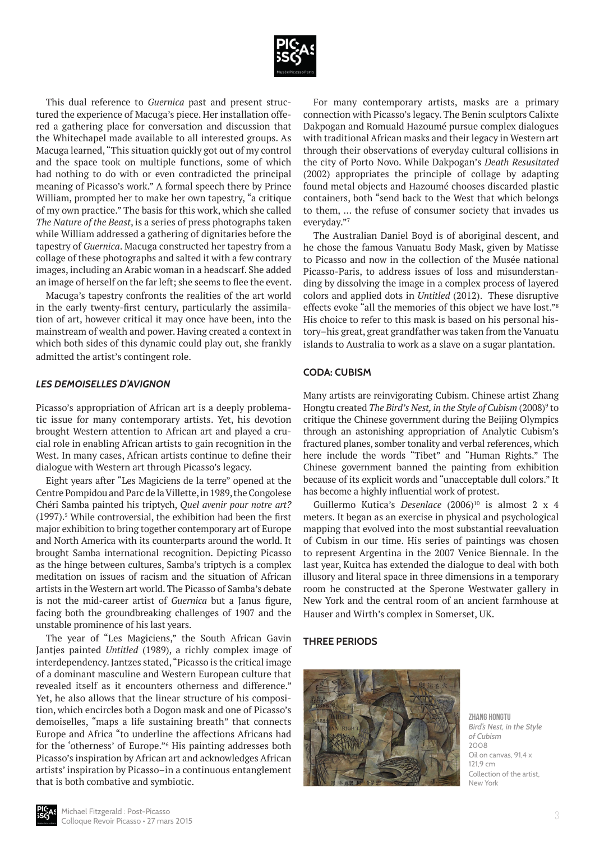

This dual reference to *Guernica* past and present structured the experience of Macuga's piece. Her installation offered a gathering place for conversation and discussion that the Whitechapel made available to all interested groups. As Macuga learned, "This situation quickly got out of my control and the space took on multiple functions, some of which had nothing to do with or even contradicted the principal meaning of Picasso's work." A formal speech there by Prince William, prompted her to make her own tapestry, "a critique of my own practice." The basis for this work, which she called *The Nature of the Beast*, is a series of press photographs taken while William addressed a gathering of dignitaries before the tapestry of *Guernica*. Macuga constructed her tapestry from a collage of these photographs and salted it with a few contrary images, including an Arabic woman in a headscarf. She added an image of herself on the far left; she seems to flee the event.

Macuga's tapestry confronts the realities of the art world in the early twenty-first century, particularly the assimilation of art, however critical it may once have been, into the mainstream of wealth and power. Having created a context in which both sides of this dynamic could play out, she frankly admitted the artist's contingent role.

## *LES DEMOISELLES D'AVIGNON*

Picasso's appropriation of African art is a deeply problematic issue for many contemporary artists. Yet, his devotion brought Western attention to African art and played a crucial role in enabling African artists to gain recognition in the West. In many cases, African artists continue to define their dialogue with Western art through Picasso's legacy.

Eight years after "Les Magiciens de la terre" opened at the Centre Pompidou and Parc de la Villette, in 1989, the Congolese Chéri Samba painted his triptych, *Quel avenir pour notre art?*  $(1997).<sup>5</sup>$  While controversial, the exhibition had been the first major exhibition to bring together contemporary art of Europe and North America with its counterparts around the world. It brought Samba international recognition. Depicting Picasso as the hinge between cultures, Samba's triptych is a complex meditation on issues of racism and the situation of African artists in the Western art world. The Picasso of Samba's debate is not the mid-career artist of *Guernica* but a Janus figure, facing both the groundbreaking challenges of 1907 and the unstable prominence of his last years.

The year of "Les Magiciens," the South African Gavin Jantjes painted *Untitled* (1989), a richly complex image of interdependency. Jantzes stated, "Picasso is the critical image of a dominant masculine and Western European culture that revealed itself as it encounters otherness and difference." Yet, he also allows that the linear structure of his composition, which encircles both a Dogon mask and one of Picasso's demoiselles, "maps a life sustaining breath" that connects Europe and Africa "to underline the affections Africans had for the 'otherness' of Europe."6 His painting addresses both Picasso's inspiration by African art and acknowledges African artists' inspiration by Picasso–in a continuous entanglement that is both combative and symbiotic.

For many contemporary artists, masks are a primary connection with Picasso's legacy. The Benin sculptors Calixte Dakpogan and Romuald Hazoumé pursue complex dialogues with traditional African masks and their legacy in Western art through their observations of everyday cultural collisions in the city of Porto Novo. While Dakpogan's *Death Resusitated* (2002) appropriates the principle of collage by adapting found metal objects and Hazoumé chooses discarded plastic containers, both "send back to the West that which belongs to them, … the refuse of consumer society that invades us everyday."7

The Australian Daniel Boyd is of aboriginal descent, and he chose the famous Vanuatu Body Mask, given by Matisse to Picasso and now in the collection of the Musée national Picasso-Paris, to address issues of loss and misunderstanding by dissolving the image in a complex process of layered colors and applied dots in *Untitled* (2012). These disruptive effects evoke "all the memories of this object we have lost."8 His choice to refer to this mask is based on his personal history–his great, great grandfather was taken from the Vanuatu islands to Australia to work as a slave on a sugar plantation.

#### **CODA: CUBISM**

Many artists are reinvigorating Cubism. Chinese artist Zhang Hongtu created *The Bird's Nest, in the Style of Cubism* (2008)<sup>9</sup> to critique the Chinese government during the Beijing Olympics through an astonishing appropriation of Analytic Cubism's fractured planes, somber tonality and verbal references, which here include the words "Tibet" and "Human Rights." The Chinese government banned the painting from exhibition because of its explicit words and "unacceptable dull colors." It has become a highly influential work of protest.

Guillermo Kutica's *Desenlace* (2006)<sup>10</sup> is almost 2 x 4 meters. It began as an exercise in physical and psychological mapping that evolved into the most substantial reevaluation of Cubism in our time. His series of paintings was chosen to represent Argentina in the 2007 Venice Biennale. In the last year, Kuitca has extended the dialogue to deal with both illusory and literal space in three dimensions in a temporary room he constructed at the Sperone Westwater gallery in New York and the central room of an ancient farmhouse at Hauser and Wirth's complex in Somerset, UK.

#### **THREE PERIODS**



**Zhang Hongtu** *Bird's Nest, in the Style of Cubism* 2008 Oil on canvas, 91,4 x 1219 cm Collection of the artist, New York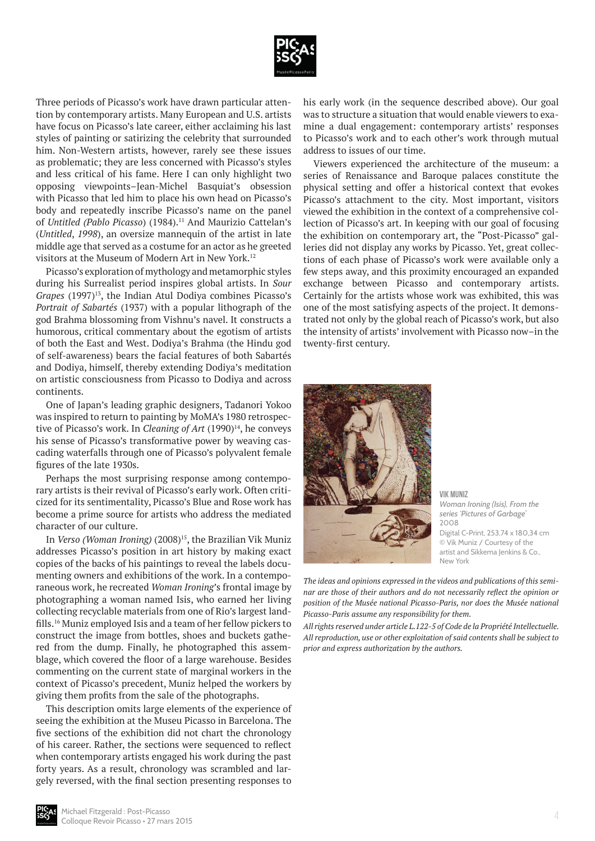

Three periods of Picasso's work have drawn particular attention by contemporary artists. Many European and U.S. artists have focus on Picasso's late career, either acclaiming his last styles of painting or satirizing the celebrity that surrounded him. Non-Western artists, however, rarely see these issues as problematic; they are less concerned with Picasso's styles and less critical of his fame. Here I can only highlight two opposing viewpoints–Jean-Michel Basquiat's obsession with Picasso that led him to place his own head on Picasso's body and repeatedly inscribe Picasso's name on the panel of *Untitled (Pablo Picasso*) (1984).<sup>11</sup> And Maurizio Cattelan's (*Untitled*, *1998*), an oversize mannequin of the artist in late middle age that served as a costume for an actor as he greeted visitors at the Museum of Modern Art in New York.<sup>12</sup>

Picasso's exploration of mythology and metamorphic styles during his Surrealist period inspires global artists. In *Sour Grapes* (1997)<sup>13</sup>, the Indian Atul Dodiya combines Picasso's *Portrait of Sabartés* (1937) with a popular lithograph of the god Brahma blossoming from Vishnu's navel. It constructs a humorous, critical commentary about the egotism of artists of both the East and West. Dodiya's Brahma (the Hindu god of self-awareness) bears the facial features of both Sabartés and Dodiya, himself, thereby extending Dodiya's meditation on artistic consciousness from Picasso to Dodiya and across continents.

One of Japan's leading graphic designers, Tadanori Yokoo was inspired to return to painting by MoMA's 1980 retrospective of Picasso's work. In *Cleaning of Art* (1990)<sup>14</sup>, he conveys his sense of Picasso's transformative power by weaving cascading waterfalls through one of Picasso's polyvalent female figures of the late 1930s.

Perhaps the most surprising response among contemporary artists is their revival of Picasso's early work. Often criticized for its sentimentality, Picasso's Blue and Rose work has become a prime source for artists who address the mediated character of our culture.

In *Verso (Woman Ironing)* (2008)<sup>15</sup>, the Brazilian Vik Muniz addresses Picasso's position in art history by making exact copies of the backs of his paintings to reveal the labels documenting owners and exhibitions of the work. In a contemporaneous work, he recreated *Woman Ironing*'s frontal image by photographing a woman named Isis, who earned her living collecting recyclable materials from one of Rio's largest landfills.16 Muniz employed Isis and a team of her fellow pickers to construct the image from bottles, shoes and buckets gathered from the dump. Finally, he photographed this assemblage, which covered the floor of a large warehouse. Besides commenting on the current state of marginal workers in the context of Picasso's precedent, Muniz helped the workers by giving them profits from the sale of the photographs.

This description omits large elements of the experience of seeing the exhibition at the Museu Picasso in Barcelona. The five sections of the exhibition did not chart the chronology of his career. Rather, the sections were sequenced to reflect when contemporary artists engaged his work during the past forty years. As a result, chronology was scrambled and largely reversed, with the final section presenting responses to his early work (in the sequence described above). Our goal was to structure a situation that would enable viewers to examine a dual engagement: contemporary artists' responses to Picasso's work and to each other's work through mutual address to issues of our time.

Viewers experienced the architecture of the museum: a series of Renaissance and Baroque palaces constitute the physical setting and offer a historical context that evokes Picasso's attachment to the city. Most important, visitors viewed the exhibition in the context of a comprehensive collection of Picasso's art. In keeping with our goal of focusing the exhibition on contemporary art, the "Post-Picasso" galleries did not display any works by Picasso. Yet, great collections of each phase of Picasso's work were available only a few steps away, and this proximity encouraged an expanded exchange between Picasso and contemporary artists. Certainly for the artists whose work was exhibited, this was one of the most satisfying aspects of the project. It demonstrated not only by the global reach of Picasso's work, but also the intensity of artists' involvement with Picasso now–in the twenty-first century.



**Vik Muniz** *Woman Ironing (Isis), From the series 'Pictures of Garbage'* 2008 Digital C-Print, 253,74 x 180,34 cm © Vik Muniz / Courtesy of the artist and Sikkema Jenkins & Co., New York

*The ideas and opinions expressed in the videos and publications of this seminar are those of their authors and do not necessarily reflect the opinion or position of the Musée national Picasso-Paris, nor does the Musée national Picasso-Paris assume any responsibility for them.*

*All rights reserved under article L.122-5 of Code de la Propriété Intellectuelle. All reproduction, use or other exploitation of said contents shall be subject to prior and express authorization by the authors.*